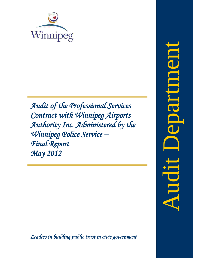

*Audit of the Professional Services Contract with Winnipeg Airports Authority Inc. Administered by the Winnipeg Police Service – Final Report May 2012*

Audit Departmentepartude Audit

<span id="page-0-0"></span>*Leaders in building public trust in civic government*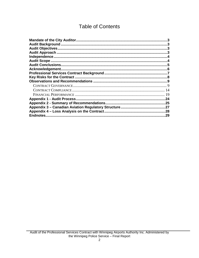# **Table of Contents**

| Acknowledgement.<br>9<br>14<br>19<br>24<br>.25<br>.27<br>.28<br>29 |  |
|--------------------------------------------------------------------|--|
|                                                                    |  |
|                                                                    |  |
|                                                                    |  |
|                                                                    |  |
|                                                                    |  |
|                                                                    |  |
|                                                                    |  |
|                                                                    |  |
|                                                                    |  |
|                                                                    |  |
|                                                                    |  |
|                                                                    |  |
|                                                                    |  |
|                                                                    |  |
|                                                                    |  |
|                                                                    |  |
|                                                                    |  |
|                                                                    |  |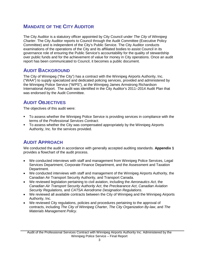# <span id="page-3-0"></span>**MANDATE OF THE CITY AUDITOR**

The City Auditor is a statutory officer appointed by City Council under *The City of Winnipeg Charter*. The City Auditor reports to Council through the Audit Committee (Executive Policy Committee) and is independent of the City's Public Service. The City Auditor conducts examinations of the operations of the City and its affiliated bodies to assist Council in its governance role of ensuring the Public Service's accountability for the quality of stewardship over public funds and for the achievement of value for money in City operations. Once an audit report has been communicated to Council, it becomes a public document.

# <span id="page-3-1"></span>**AUDIT BACKGROUND**

The City of Winnipeg ("the City") has a contract with the Winnipeg Airports Authority, Inc. ("WAA") to supply specialized and dedicated policing services, provided and administered by the Winnipeg Police Service ("WPS"), at the Winnipeg James Armstrong Richardson International Airport. The audit was identified in the City Auditor's 2011–2014 Audit Plan that was endorsed by the Audit Committee.

# <span id="page-3-2"></span>**AUDIT OBJECTIVES**

The objectives of this audit were:

- To assess whether the Winnipeg Police Service is providing services in compliance with the terms of the *Professional Services Contract*.
- To assess whether the City was compensated appropriately by the Winnipeg Airports Authority, Inc. for the services provided.

# <span id="page-3-3"></span>**AUDIT APPROACH**

We conducted the audit in accordance with generally accepted auditing standards. **Appendix 1** provides a flowchart of the audit process.

- We conducted interviews with staff and management from Winnipeg Police Services, Legal Services Department, Corporate Finance Department, and the Assessment and Taxation Department.
- We conducted interviews with staff and management of the Winnipeg Airports Authority, the Canadian Air Transport Security Authority, and Transport Canada.
- We reviewed legislation pertaining to civil aviation, including the *Aeronautics Act*, the *Canadian Air Transport Security Authority Act*, the *Preclearance Act*, *Canadian Aviation Security Regulations,* and *CATSA Aerodrome Designation Regulations*.
- We reviewed all available contracts between the City of Winnipeg and the Winnipeg Airports Authority, Inc.
- We reviewed City regulations, policies and procedures pertaining to the approval of contracts, including *The City of Winnipeg Charter*, *The City Organization By-law*, and *The Materials Management Policy*.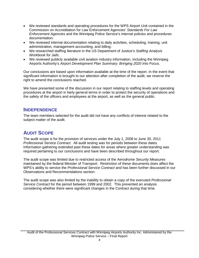- We reviewed standards and operating procedures for the WPS Airport Unit contained in the Commission on Accreditation for Law Enforcement Agencies' *Standards For Law Enforcement Agencies* and the Winnipeg Police Service's internal policies and procedures documentation.
- We reviewed internal documentation relating to daily activities, scheduling, training, unit administration, management accounting, and billing.
- We researched staffing literature in the US Department of Justice's *Staffing Analysis Workbook for Jails*.
- We reviewed publicly available civil aviation industry information, including the Winnipeg Airports Authority's *Airport Development Plan Summary: Bringing 2020 Into Focus*.

Our conclusions are based upon information available at the time of the report. In the event that significant information is brought to our attention after completion of the audit, we reserve the right to amend the conclusions reached.

We have presented some of the discussion in our report relating to staffing levels and operating procedures at the airport in fairly general terms in order to protect the security of operations and the safety of the officers and employees at the airport, as well as the general public.

# <span id="page-4-0"></span>**INDEPENDENCE**

The team members selected for the audit did not have any conflicts of interest related to the subject matter of the audit.

# <span id="page-4-1"></span>**AUDIT SCOPE**

The audit scope is for the provision of services under the July 1, 2008 to June 30, 2011 *Professional Service Contract*. All audit testing was for periods between these dates. Information gathering extended past these dates for areas where greater understanding was required pertaining to our conclusions and have been described throughout our report.

The audit scope was limited due to restricted access of the *Aerodrome Security Measures* maintained by the federal Minister of Transport. Restriction of these documents does affect the WPS's ability to service the *Professional Service Contract* and has been further discussed in our Observations and Recommendations section.

The audit scope was also limited by the inability to obtain a copy of the executed *Professional Service Contract* for the period between 1999 and 2002. This prevented an analysis considering whether there were significant changes in the Contract during that time.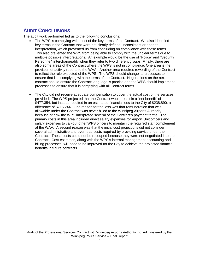# <span id="page-5-0"></span>**AUDIT CONCLUSIONS**

The audit work performed led us to the following conclusions:

- The WPS is complying with most of the key terms of the Contract. We also identified key terms in the Contract that were not clearly defined, inconsistent or open to interpretation, which prevented us from concluding on compliance with those terms. This also prevented the WPS from being able to comply with the unclear terms due to multiple possible interpretations. An example would be the use of "Police" and "Security Personnel" interchangeably when they refer to two different groups. Finally, there are also some areas of the Contract where the WPS is not in compliance. One area is the provision of activity reports to the WAA. Another area requires rewording of the Contract to reflect the role expected of the WPS. The WPS should change its processes to ensure that it is complying with the terms of the Contract. Negotiations on the next contract should ensure the Contract language is precise and the WPS should implement processes to ensure that it is complying with all Contract terms.
- The City did not receive adequate compensation to cover the actual cost of the services provided. The WPS projected that the Contract would result in a "net benefit" of \$477,354, but instead resulted in an estimated financial loss to the City of \$238,890, a difference of \$716,244. One reason for the loss was that remuneration that was allowable under the Contract was never billed to the Winnipeg Airports Authority because of how the WPS interpreted several of the Contract's payment terms. The primary costs in this area included direct salary expenses for Airport Unit officers and salary expenses to call-out other WPS officers to maintain the required staff complement at the WAA. A second reason was that the initial cost projections did not consider several administrative and overhead costs required by providing service under the Contract. These costs could not be recouped because they were not negotiated into the Contract. Cost estimates, along with the WPS's internal management accounting and billing processes, will need to be improved for the City to achieve the projected financial benefits in future contracts.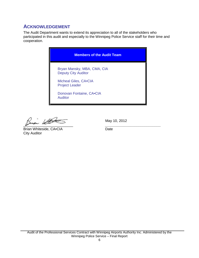# <span id="page-6-0"></span>**ACKNOWLEDGEMENT**

The Audit Department wants to extend its appreciation to all of the stakeholders who participated in this audit and especially to the Winnipeg Police Service staff for their time and cooperation.

| <b>Members of the Audit Team</b>                          |
|-----------------------------------------------------------|
| Bryan Mansky, MBA, CMA, CIA<br><b>Deputy City Auditor</b> |
| Micheal Giles, CA.CIA<br><b>Project Leader</b>            |
| Donovan Fontaine, CA.CIA<br><b>Auditor</b>                |

 $\frac{\beta_{\text{train}}}{\beta_{\text{train}}}\frac{\text{MHC}}{\text{Dirac}}$  May  $\frac{\beta_{\text{train}}}{\beta_{\text{train}}}$ 

Brian Whiteside, CA.CIA City Auditor

May 10, 2012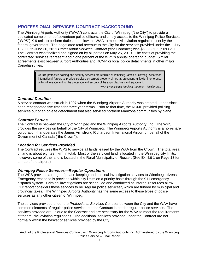# <span id="page-7-0"></span>**PROFESSIONAL SERVICES CONTRACT BACKGROUND**

The Winnipeg Airports Authority ("WAA") contracts the City of Winnipeg ("the City") to provide a dedicated complement of seventeen police officers, and timely access to the Winnipeg Police Service's ("WPS") K-9 unit, to perform duties that allow the WAA to meet civil aviation regulations set by the federal government. The negotiated total revenue to the City for the services provided under the July 1, 2008 to June 30, 2011 *Professional Services Contract* ("the Contract") was \$5,998,605, plus GST. The Contract was finalized and signed off by all parties on May 25, 2010. The costs of providing the contracted services represent about one percent of the WPS's annual operating budget. Similar agreements exist between Airport Authorities and RCMP or local police detachments in other major Canadian cities.

> On-site protective policing and security services are required at Winnipeg James Armstrong Richardson International Airport to provide services on airport property aimed at preventing unlawful interference with civil aviation and for the protection and security of the airport facilities and equipment.

- *WAA Professional Services Contract – Section 34.1* 

# *Contract Duration*

A service contract was struck in 1997 when the Winnipeg Airports Authority was created. It has since been renegotiated five times for three year terms. Prior to that time, the RCMP provided policing services out of an on-site detachment that also serviced northern Manitoba communities by plane.

# *Contract Parties*

The Contract is between the City of Winnipeg and the Winnipeg Airports Authority, Inc. The WPS provides the services on behalf of the City of Winnipeg. The Winnipeg Airports Authority is a non-share corporation that operates the James Armstrong Richardson International Airport on behalf of the Government of Canada ("the Crown").

# *Location for Services Provided*

The Contract requires the WPS to service all lands leased by the WAA from the Crown. The total area of land is about eighteen  $km^2$  in total. Most of the serviced land is located in the Winnipeg city limits; however, some of the land is located in the Rural Municipality of Rosser. (See Exhibit 1 on Page 13 for a map of the airport.)

# *Winnipeg Police Services—Regular Operations*

The WPS provides a range of peace keeping and criminal investigation services to Winnipeg citizens. Emergency response is provided within city limits on a priority basis through the 911 emergency dispatch system. Criminal investigations are scheduled and conducted as internal resources allow. Our report considers these services to be "regular police services", which are funded by municipal and provincial taxes. The Winnipeg Airports Authority has the same access to these types of police services as any other citizen of Winnipeg.

The services provided under the *Professional Services Contract* between the City and the WAA have common elements of regular police service, but the Contract is not for regular police services. The services provided are unique to the Contract and are necessary for the WAA to meet the requirements of federal civil aviation regulations. The additional services provided under the Contract are not normally within the basket of services provided by the City.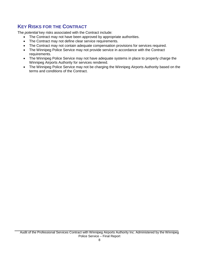# <span id="page-8-0"></span>**KEY RISKS FOR THE CONTRACT**

The *potential* key risks associated with the Contract include:

- The Contract may not have been approved by appropriate authorities.
- The Contract may not define clear service requirements.
- The Contract may not contain adequate compensation provisions for services required.
- The Winnipeg Police Service may not provide service in accordance with the Contract requirements.
- The Winnipeg Police Service may not have adequate systems in place to properly charge the Winnipeg Airports Authority for services rendered.
- The Winnipeg Police Service may not be charging the Winnipeg Airports Authority based on the terms and conditions of the Contract.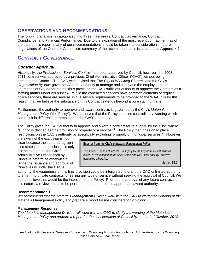# <span id="page-9-0"></span>**OBSERVATIONS AND RECOMMENDATIONS**

The following analysis is categorized into three main areas: Contract Governance, Contract Compliance, and Financial Performance. Due to the expiration of the most recent contract term as of the date of this report, many of our recommendations should be taken into consideration in future negotiations of the Contract. A complete summary of the recommendations is attached as **Appendix 2.**

# <span id="page-9-1"></span>*CONTRACT GOVERNANCE*

# *Contract Approval*

Historically, the *Professional Services Contract* has been approved by Council; however, the 2008- 2011 contract was approved by a previous Chief Administrative Officer ("CAO") without being presented to Council. The CAO was advised that *The City of Winnipeg Charter [1](#page-29-1)* and the City's *Organization By-law[2](#page-29-2)* gave the CAO the authority to manage and supervise the employees and operations of City departments, thus providing the CAO sufficient authority to approve the Contract as a staffing matter under his purview. While the contracted services have common elements of regular police services, there are several unique service requirements to be provided to the WAA. It is for this reason that we believe the substance of this Contract extends beyond a pure staffing matter.

Furthermore, the authority to approve and award contracts is governed by the City's *Materials Management Policy* ("the Policy"). We observed that the Policy contains contradictory wording which can result in different interpretations of the CAO's authority.

The Policy gives the CAO authority to approve and award a contract for "a supply" by the City<sup>[3](#page-29-3)</sup>, where "supply" is defined as "the provision of property or a service."<sup>[4](#page-29-4)</sup> The Policy then goes on to place restrictions on the CAO's authority by specifically excluding "a supply of municipal services."<sup>[5](#page-29-5)</sup> However,

the extent of the exclusion is not clear because the same paragraph also states that the exclusion is only "to the extent that the Chief Administrative Officer shall by Directive determine otherwise." Since the issuance and approval of Directives is under the CAO's

**Excerpt from the City's** *Materials Management Policy*

*This Policy… does not include… a supply by the City of municipal services…*  except to the extent that the Chief Administrative Officer shall by Directive *determine otherwise.*

- *Section B1.2*

authority, the vagueness of this final provision could be interpreted to grant the CAO unlimited authority to enter into private contracts for selling any type of service without seeking the approval of Council. We do not believe that would be the intention of the Policy. Prior to the approval of any future contracts of this nature, a review needs to be performed to determine the appropriate award authority.

# **Recommendation 1**

*We recommend that the Materials Management Division work with the CAO to clarify the wording of the*  Materials Management Policy *and prepare a report for the consideration of Council.* 

# **Management Response**

*The Materials Management Division will work with the CAO to clarify the wording of the Materials Management Policy and prepare a report for the consideration of Council by the end of October, 2012.*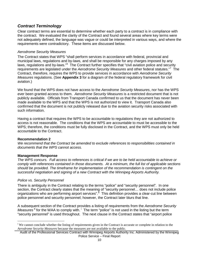# *Contract Terminology*

Clear contract terms are essential to determine whether each party to a contract is in compliance with the contract. We evaluated the clarity of the Contract and found several areas where key terms were not adequately defined, the language was vague or could be interpreted in various ways, and where the requirements were contradictory. These items are discussed below.

## *Aerodrome Security Measures*

The Contract states that WPS "shall perform services in accordance with federal, provincial and municipal laws, regulations and by-laws, and shall be responsible for any charges imposed by any laws, regulations and by-laws."<sup>[6](#page-29-6)</sup> The Contract further specifies that "civil aviation police and security requirements are legislated under the *Aerodrome Security Measures* and other federal statutes." [7](#page-29-7) The Contract, therefore, requires the WPS to provide services in accordance with *Aerodrome Security Measures* regulations. (See **Appendix 3** for a diagram of the federal regulatory framework for civil aviation.)

We found that the WPS does not have access to the *Aerodrome Security Measures*, nor has the WPS ever been granted access to them. *Aerodrome Security Measures* is a restricted document that is not publicly available. Officials from Transport Canada confirmed to us that the document has never been made available to the WPS and that the WPS is not authorized to view it. Transport Canada also confirmed that the document is not publicly released due to the aviation security risks associated with such information.

Having a contract that requires the WPS to be accountable to regulations they are not authorized to access is not reasonable. The conditions that the WPS are accountable to must be accessible to the WPS; therefore, the conditions must be fully disclosed in the Contract, and the WPS must only be held accountable to the Contract.

## **Recommendation 2**

*We recommend that the Contract be amended to exclude references to responsibilities contained in documents that the WPS cannot access.*

## **Management Response**

*The WPS concurs. Full access to references is critical if we are to be held accountable to achieve or comply with references contained in those documents. At a minimum, the full list of applicable sections should be provided. The timeframe for implementation of the recommendation is contingent on the successful negotiation and signing of a new Contract with the Winnipeg Airports Authority.*

## *Police vs. Security Personnel*

There is ambiguity in the Contract relating to the terms "police" and "security personnel". In one section, the Contract clearly states that the meaning of "security personnel… does not include police organizations who are performing airport services".<sup>[8](#page-29-8)</sup> This definition provides a clear-cut line between police personnel and security personnel; however, the Contract later blurs that line.

A subsequent section of the Contract provides a listing of requirements from the *Aerodrome Security Measures* <sup>[9](#page-29-9)</sup> for the WAA to comply w[i](#page-0-0)th. <sup>i</sup> The term "police" is not used in the listing but the term "security personnel" is used throughout. The next clause in the Contract states that "airport police

<span id="page-10-0"></span>i <sup>i</sup> We cannot conclude whether the listing of requirements given in the Contract is accurate or complete in relation to the *Aerodrome Security Measures* because the measures are not available to the public.

Audit of the Professional Services Contract with Winnipeg Airports Authority Inc. Administered by the Winnipeg Police Service – Final Report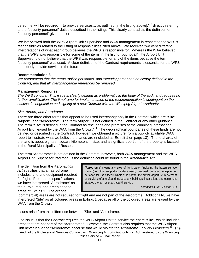personnel will be required... to provide services... as outlined [in the listing above],"<sup>[10](#page-29-10)</sup> directly referring to the "security personnel" duties described in the listing. This clearly contradicts the definition of "security personnel" given earlier.

We interviewed both the WPS Airport Unit Supervisor and WAA management in respect to the WPS's responsibilities related to the listing of responsibilities cited above. We received two very different interpretations of what each group believes the WPS is responsible for. Whereas the WAA believed that the WPS was responsible for some of the items in the listing (but not all), the Airport Unit Supervisor did not believe that the WPS was responsible for any of the items because the term "security personnel" was used. A clear definition of the Contract requirements is essential for the WPS to properly provide service in the future.

## **Recommendation 3**

*We recommend that the terms "police personnel" and "security personnel" be clearly defined in the Contract, and that all interchangeable references be removed.*

## **Management Response**

*The WPS concurs. This issue is clearly defined as problematic in the body of the audit and requires no further amplification. The timeframe for implementation of the recommendation is contingent on the successful negotiation and signing of a new Contract with the Winnipeg Airports Authority.*

# *Site, Airport, and Aerodrome*

There are three other terms that appear to be used interchangeably in the Contract, which are "Site", "Airport", and "Aerodrome". The term "Airport" is not defined in the Contract or any other guidance. The term "Site" is defined in the Contract as "the lands and premises at the Winnipeg International Airport [*sic*] leased by the WAA from the Crown."[11](#page-29-11) The geographical boundaries of these lands are not defined or described in the Contract; however, we obtained a picture from a publicly available WAA report to illustrate what we believe the lands are (included as Exhibit 1 on page 13). The total area of the land is about eighteen square kilometers in size, and a significant portion of the property is located in the Rural Municipality of Rosser.

The term "Aerodrome" is not defined in the Contract; however, both WAA management and the WPS Airport Unit Supervisor informed us the definition could be found in the *Aeronautics Act*.

The definition from the *Aeronautics Act* specifies that an aerodrome includes land and equipment required for flight. From these specifications, we have interpreted "Aerodrome" as the purple, red, and green shaded areas of Exhibit 1. The orange

"**Aerodrome**" means any area of land, water (including the frozen surface thereof) or other supporting surface used, designed, prepared, equipped or set apart for use either in whole or in part for the arrival, departure, movement or servicing of aircraft and includes any buildings, installations and equipment situated thereon or associated therewith.

- *Aeronautics Act – Section 3(1)*

(commercial) areas are not required for flight and are not part of the aerodrome. Additionally, we have interpreted "Site" as all coloured areas in Exhibit 1 because all of the coloured areas are leased by the WAA from the Crown.

Issues arise from this difference between "Site" and "Aerodrome."

One issue is that the Contract requires the WPS Airport Unit to service the entire "Site", which includes areas that are not part of the "Aerodrome". However, the Contract also requires that the WPS Airport Unit never leave the "Aerodrome" because that would violate the *Aerodrome Security Measures*. [12](#page-29-12) The

Audit of the Professional Services Contract with Winnipeg Airports Authority Inc. Administered by the Winnipeg Police Service – Final Report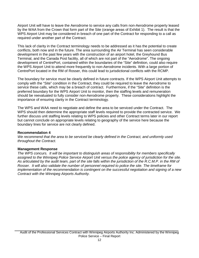Airport Unit will have to leave the Aerodrome to service any calls from non-Aerodrome property leased by the WAA from the Crown that form part of the Site (orange areas of Exhibit 1). The result is that the WPS Airport Unit may be considered in breach of one part of the Contract for responding to a call as required under another part of the Contract.

This lack of clarity in the Contract terminology needs to be addressed as it has the potential to create conflicts, both now and in the future. The area surrounding the Air Terminal has seen considerable development in the past few years with the construction of an airport hotel, the Greyhound Bus Terminal, and the Canada Post facility, all of which are not part of the "Aerodrome". The ongoing development of CentrePort, contained within the boundaries of the "Site" definition, could also require the WPS Airport Unit to attend more frequently to non-Aerodrome incidents. With a large portion of CentrePort located in the RM of Rosser, this could lead to jurisdictional conflicts with the RCMP.

The boundary for service must be clearly defined in future contracts. If the WPS Airport Unit attempts to comply with the "Site" condition in the Contract, they could be required to leave the Aerodrome to service these calls, which may be a breach of contract. Furthermore, if the "Site" definition is the preferred boundary for the WPS Airport Unit to monitor, then the staffing levels and remuneration should be reevaluated to fully consider non-Aerodrome property. These considerations highlight the importance of ensuring clarity in the Contract terminology.

The WPS and WAA need to negotiate and define the area to be serviced under the Contract. The WPS should then determine the appropriate staff levels required to provide the contracted service. We further discuss unit staffing levels relating to WPS policies and other Contract terms later in our report but cannot conclude on appropriate levels relating to geography of the service here because the boundary lines for service are not clearly defined.

## **Recommendation 4**

*We recommend that the area to be serviced be clearly defined in the Contract, and uniformly used throughout the Contract.*

## **Management Response**

*The WPS concurs. It will be important to distinguish areas of responsibility for members specifically assigned to the Winnipeg Police Service Airport Unit versus the police agency of jurisdiction for the site. As articulated by the audit team, part of the site falls within the jurisdiction of the R.C.M.P. in the RM of Rosser. It will also validate the number of personnel required to police the site. The timeframe for implementation of the recommendation is contingent on the successful negotiation and signing of a new Contract with the Winnipeg Airports Authority.*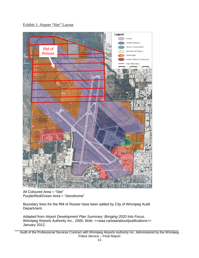Exhibit 1: Airport "Site" Layout



All Coloured Area = "Site" Purple/Red/Green Area = "Aerodrome"

Boundary lines for the RM of Rosser have been added by City of Winnipeg Audit Department.

Adapted from *Airport Development Plan Summary: Bringing 2020 Into Focus*. Winnipeg Airports Authority Inc., 2000. Web: <<*waa.ca/waa/about/publications>>* January 2012.

Audit of the Professional Services Contract with Winnipeg Airports Authority Inc. Administered by the Winnipeg Police Service – Final Report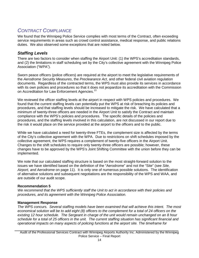# <span id="page-14-0"></span>*CONTRACT COMPLIANCE*

We found that the Winnipeg Police Service complies with most terms of the Contract, often exceeding service requirements in areas such as crowd control assistance, medical response, and public relations duties. We also observed some exceptions that are noted below.

# *Staffing Levels*

There are two factors to consider when staffing the Airport Unit: (1) the WPS's accreditation standards, and (2) the limitations in staff scheduling set by the City's collective agreement with the Winnipeg Police Association ("WPA").

Sworn peace officers (police officers) are required at the airport to meet the legislative requirements of the *Aerodrome Security Measures*, the *Preclearance Act*, and other federal civil aviation regulation documents. Regardless of the contracted terms, the WPS must also provide its services in accordance with its own policies and procedures so that it does not jeopardize its accreditation with the Commission on Accreditation for Law Enforcement Agencies.<sup>[13](#page-29-13)</sup>

We reviewed the officer staffing levels at the airport in respect with WPS policies and procedures. We found that the current staffing levels can potentially put the WPS at risk of breaching its policies and procedures, and that staffing levels should be increased to mitigate the risk. We have calculated that a minimum of twenty-three officers are needed in the Airport Unit to satisfy the Contract and maintain compliance with the WPS's policies and procedures. The specific details of the policies and procedures, and the staffing levels involved in this calculation, are not discussed in our report due to the risk it would place on the service provided at the airport to the officers and to the public.

While we have calculated a need for twenty-three FTEs, the complement size is affected by the terms of the City's collective agreement with the WPA. Due to restrictions on shift schedules imposed by the collective agreement, the WPS requires a complement of twenty-five officers in the Airport Unit. Changes to the shift schedules to require only twenty-three officers are possible; however, these changes have to be approved by the WPS's Joint Shifting Committee with the union before they can be implemented.

We note that our calculated staffing structure is based on the most straight-forward solution to the issues we have identified based on the definition of the "Aerodrome" and not the "Site" (see *Site, Airport, and Aerodrome* on page 11). It is only one of numerous possible solutions. The identification of alternative solutions and subsequent negotiations are the responsibility of the WPS and WAA, and are outside of our audit scope.

# **Recommendation 5**

*We recommend that the WPS sufficiently staff the Unit to act in accordance with their policies and procedures, and its agreement with the Winnipeg Police Association.*

# **Management Response**

*The WPS concurs. Several staffing models have been examined that will achieve this intent. The most economical solution will be to add eight (8) officers to the complement for a total of 24 officers on the*  existing 12 hour schedule. The Sergeant in charge of the unit would remain unchanged on an 8 hour *schedule for a total of 25 officers in the unit. The current staffing situation has significant financial and operational impacts on many aspects of policing functions at the airport site. The timeframe for*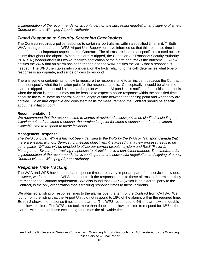*implementation of the recommendation is contingent on the successful negotiation and signing of a new Contract with the Winnipeg Airports Authority.*

# *Timed Response to Security Screening Checkpoints*

The Contract requires a police response to certain airport alarms within a specified time limit.<sup>[14](#page-29-14)</sup> Both WAA management and the WPS Airport Unit Supervisor have informed us that this response time is one of the most important aspects of the Contract. The alarms are located at specific restricted access points throughout the airport. When an alarm is tripped, the Canadian Air Transport Security Authority ("CATSA") headquarters in Ottawa receives notification of the alarm and tracks the outcome. CATSA notifies the WAA that an alarm has been tripped and the WAA notifies the WPS that a response is needed. The WPS then takes into consideration the facts relating to the call, determines what type of response is appropriate, and sends officers to respond.

There is some uncertainty as to how to measure the response time to an incident because the Contract does not specify what the initiation point for the response time is. Conceptually, it could be when the alarm is tripped—but it could also be at the point when the Airport Unit is notified. If the initiation point is when the alarm is tripped, it may not be feasible to expect a police response within the specified time because the WPS have no control over the length of time between the tripping point and when they are notified. To ensure objective and consistent basis for measurement, the Contract should be specific about the initiation point.

## **Recommendation 6**

*We recommend that the response time to alarms at restricted access points be clarified, including the initiation point of the timed response, the termination point for timed responses, and the maximum allowable time to respond to these incidents.* 

## **Management Response**

*The WPS concurs. While it has not been identified to the WPS by the WAA or Transport Canada that there are issues with our Service not meeting objectives, it is agreed that a new process needs to be put in place. Officers will be directed to utilize our current dispatch system and RMS (Records Management System) for tracking responses to all incidents in a consistent manner. The timeframe for implementation of the recommendation is contingent on the successful negotiation and signing of a new Contract with the Winnipeg Airports Authority.*

# *Response Time Tracking*

The WAA and WPS have stated that response times are a very important part of the services provided; however, we found that the WPS does not track the response times to these alarms to determine if they are meeting the Contract requirement. We also found that CATSA (which is an external party to the Contract) is the only organization that is tracking response times to these incidents.

We obtained a listing of response times to the alarms over the term of the Contract from CATSA. We found from the listing that the Airport Unit did not respond to 18% of the alarms within the required time. Exhibit 2 shows the response times to the alarms. The WPS responded to 5% of alarms within double the allowable time. The WPS also took more than double the allowable time to respond for 13% of the alarms; with some of these exceeding four times the allowable time.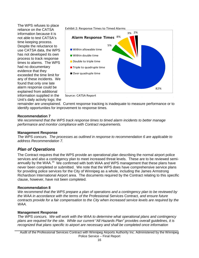The WPS refuses to place reliance on the CATSA information because it is not able to test CATSA's time keeping process. Despite the reluctance to use CATSA data, the WPS has not developed its own process to track response times to alarms. The WPS had no documentary evidence that they exceeded the time limit for any of these incidents. We found that only one late alarm response could be explained from additional information supplied in the Unit's daily activity logs; the



Source: CATSA Report

remainder are unexplained. Current response tracking is inadequate to measure performance or to identify opportunities for improvement to response times.

#### **Recommendation 7**

*We recommend that the WPS track response times to timed alarm incidents to better manage performance and monitor compliance with Contract requirements.* 

#### **Management Response**

*The WPS concurs. The processes as outlined in response to recommendation 6 are applicable to address Recommendation 7.*

# *Plan of Operations*

The Contract requires that the WPS provide an operational plan describing the normal airport police services and also a contingency plan to meet increased threat levels. These are to be reviewed semi-annually by the WAA.<sup>[15](#page-29-15)</sup> We confirmed with both WAA and WPS management that these plans have never been completed or submitted. We note that the WPS does have comprehensive service plans for providing police services for the City of Winnipeg as a whole, including the James Armstrong Richardson International Airport area. The documents required by the Contract relating to this specific clause, however, have not been completed.

#### **Recommendation 8**

*We recommend that the WPS prepare a plan of operations and a contingency plan to be reviewed by the WAA in accordance with the terms of the* Professional Services Contract*, and ensure future contracts provide for a fair compensation to the City when increased service levels are required by the WAA.*

#### **Management Response**

*The WPS concurs. We will work with the WAA to determine what operational plans and contingency plans are required for the site. While our current "All Hazards Plan" provides overall guidelines, it is recognized that plans specific to airport are necessary and shall be completed once information* 

Audit of the Professional Services Contract with Winnipeg Airports Authority Inc. Administered by the Winnipeg Police Service – Final Report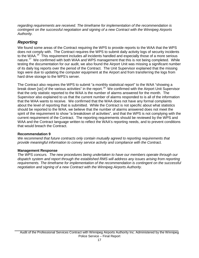*regarding requirements are received. The timeframe for implementation of the recommendation is contingent on the successful negotiation and signing of a new Contract with the Winnipeg Airports Authority.*

# *Reporting*

We found some areas of the Contract requiring the WPS to provide reports to the WAA that the WPS does not comply with. The Contract requires the WPS to submit daily activity logs of security incidents to the WAA.[16](#page-29-16) This requirement includes *all* incidents handled and especially those of a more serious nature.<sup>[17](#page-29-17)</sup> We confirmed with both WAA and WPS management that this is not being completed. While testing the documentation for our audit, we also found the Airport Unit was missing a significant number of its daily log reports over the period of the Contract. The Unit Supervisor explained that the missing logs were due to updating the computer equipment at the Airport and from transferring the logs from hard drive storage to the WPS's server.

The Contract also requires the WPS to submit "a monthly statistical report" to the WAA "showing a break down [sic] of the various activities" in the report.<sup>[18](#page-29-18)</sup> We confirmed with the Airport Unit Supervisor that the only statistic reported to the WAA is the number of alarms answered for the month. The Supervisor also explained to us that the current number of alarms responded to is all of the information that the WAA wants to receive. We confirmed that the WAA does not have any formal complaints about the level of reporting that is submitted. While the Contract is not specific about what statistics should be reported to the WAA, we believe that the number of alarms answered does not meet the spirit of the requirement to show "a breakdown of activities", and that the WPS is not complying with the current requirement of the Contract. The reporting requirements should be reviewed by the WPS and WAA and the Contract language written to reflect the WAA's reporting needs, and to prevent conditions that would breach the Contract.

## **Recommendation 9**

*We recommend that future contracts only contain mutually agreed to reporting requirements that provide meaningful information to convey service activity and compliance with the Contract.* 

# **Management Response**

*The WPS concurs. The new procedures being undertaken to have our members operate through our dispatch system and report through the established RMS will address any issues arising from reporting requirements. The timeframe for implementation of the recommendation is contingent on the successful negotiation and signing of a new Contract with the Winnipeg Airports Authority.*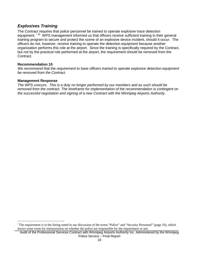# *Explosives Training*

The Contract requires that police personnel be trained to operate explosive trace detection equ[i](#page-10-0)pment.<sup>[19](#page-29-19)</sup> WPS management informed us that officers receive sufficient training in their general training program to secure and protect the scene of an explosive device incident, should it occur. The officers do not, however, receive training to operate the detection equipment because another organization performs this role at the airport. Since the training is specifically required by the Contract, but not by the practical role performed at the airport, the requirement should be removed from the Contract.

## **Recommendation 10**

*We recommend that the requirement to have officers trained to operate explosive detection equipment be removed from the Contract.* 

## **Management Response**

<span id="page-18-0"></span>*The WPS concurs. This is a duty no longer performed by our members and as such should be removed from the contract. The timeframe for implementation of the recommendation is contingent on the successful negotiation and signing of a new Contract with the Winnipeg Airports Authority.*

i <sup>1</sup> The requirement is in the listing noted in our discussion of the terms "Police" and "Security Personnel" (page 10), which leaves some room for interpretation on whether the police are responsible for the requirement or not.

Audit of the Professional Services Contract with Winnipeg Airports Authority Inc. Administered by the Winnipeg Police Service – Final Report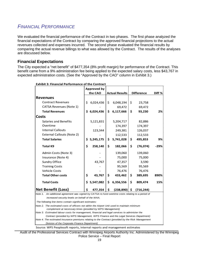# *FINANCIAL PERFORMANCE*

We evaluated the financial performance of the Contract in two phases. The first phase analyzed the financial expectations of the Contract by comparing the approved financial projections to the actual revenues collected and expenses incurred. The second phase evaluated the financial results by comparing the actual revenue billings to what was allowed by the Contract. The results of the analyses are discussed below.

# **Financial Expectations**

The City expected a "net benefit" of \$477,354 (8% profit margin) for performance of the Contract. This benefit came from a 9% administration fee being applied to the expected salary costs, less \$43,767 in expected administration costs. (See the "Approved by the CAO" column in Exhibit 3.)

|                                                                                                                                                            | <b>Approved by</b> |           |                       |            |                   |            |        |  |
|------------------------------------------------------------------------------------------------------------------------------------------------------------|--------------------|-----------|-----------------------|------------|-------------------|------------|--------|--|
|                                                                                                                                                            | the CAO            |           | <b>Actual Results</b> |            | <b>Difference</b> |            | Diff % |  |
| <b>Revenues</b>                                                                                                                                            |                    |           |                       |            |                   |            |        |  |
| <b>Contract Revenues</b>                                                                                                                                   | \$                 | 6,024,436 | \$                    | 6,048,194  | \$                | 23,758     |        |  |
| <b>CATSA Revenues (Note 1)</b>                                                                                                                             |                    |           |                       | 69,472     |                   | 69,472     |        |  |
| <b>Total Revenues</b>                                                                                                                                      | \$                 | 6,024,436 | \$                    | 6,117,666  | \$                | 93,230     | 2%     |  |
| Costs                                                                                                                                                      |                    |           |                       |            |                   |            |        |  |
| <b>Salaries and Benefits</b>                                                                                                                               |                    | 5,121,831 |                       | 5,204,717  |                   | 82,886     |        |  |
| Overtime                                                                                                                                                   |                    |           |                       | 174,397    |                   | 174,397    |        |  |
| <b>Internal Callouts</b>                                                                                                                                   |                    | 123,344   |                       | 249,381    |                   | 126,037    |        |  |
| <b>External Callouts (Note 2)</b>                                                                                                                          |                    |           |                       | 112,533    |                   | 112,533    |        |  |
| <b>Total Salaries</b>                                                                                                                                      | \$                 | 5,245,175 | \$                    | 5,741,028  | \$                | 495,853    | 9%     |  |
| <b>Total K9</b>                                                                                                                                            | \$                 | 258,140   | \$                    | 182,066    | \$                | (76, 074)  | $-29%$ |  |
| Admin Costs (Note 3)                                                                                                                                       |                    |           |                       | 139,060    |                   | 139,060    |        |  |
| Insurance (Note 4)                                                                                                                                         |                    |           |                       | 75,000     |                   | 75,000     |        |  |
| Sundry Office                                                                                                                                              |                    | 43,767    |                       | 47,357     |                   | 3,590      |        |  |
| <b>Training Costs</b>                                                                                                                                      |                    |           |                       | 95,569     |                   | 95,569     |        |  |
| <b>Vehicle Costs</b>                                                                                                                                       |                    |           |                       | 76,476     |                   | 76,476     |        |  |
| <b>Total Other costs</b>                                                                                                                                   | \$                 | 43,767    | \$                    | 433,462    | \$                | 389,695    | 890%   |  |
| <b>Total Costs</b>                                                                                                                                         | Ś                  | 5,547,082 | \$                    | 6,356,556  | \$                | 809,474    | 15%    |  |
| <b>Net Benefit (Loss)</b>                                                                                                                                  | \$                 | 477,354   | \$                    | (238, 890) | \$                | (716, 244) |        |  |
| Note 1. An additional agreement was signed by CATSA to fund overtime costs relating to a period of                                                         |                    |           |                       |            |                   |            |        |  |
| increased security levels on behalf of the WAA.                                                                                                            |                    |           |                       |            |                   |            |        |  |
| The following line items contain significant estimates:                                                                                                    |                    |           |                       |            |                   |            |        |  |
| Note 2. The estimated costs of officers not within the Airport Unit used to maintain minimum<br>complement at necessary times (provided by WPS Management) |                    |           |                       |            |                   |            |        |  |
| Note 3. Estimated labour costs for management, financial and legal services to administer the                                                              |                    |           |                       |            |                   |            |        |  |
| Contract (provided by WPS Management, WPS Finance and the Legal Services Department)                                                                       |                    |           |                       |            |                   |            |        |  |
| Note 4. The estimated insurance premiums relating to the Contract (provided by the Risk Management                                                         |                    |           |                       |            |                   |            |        |  |
| Division of the Corporate Finance Department)                                                                                                              |                    |           |                       |            |                   |            |        |  |
| Source: WPS Peoplesoft reports, internal reports and management estimates                                                                                  |                    |           |                       |            |                   |            |        |  |

**Exhibit 3: Financial Performance of the Contract**

Audit of the Professional Services Contract with Winnipeg Airports Authority Inc. Administered by the Winnipeg Police Service – Final Report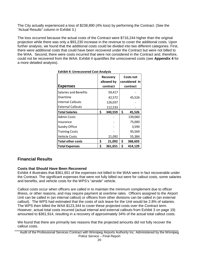The City actually experienced a loss of \$238,890 (4% loss) by performing the Contract. (See the "Actual Results" column in Exhibit 3.)

The loss occurred because the actual costs of the Contract were \$716,244 higher than the original projection while there was only a \$93,230 increase in the revenue to cover the additional costs. Upon further analysis, we found that the additional costs could be divided into two different categories. First, there were additional costs that could have been recovered under the Contract but were not billed to the WAA. Second, there were costs incurred that were not considered in the Contract and, therefore, could not be recovered from the WAA. Exhibit 4 quantifies the unrecovered costs (see **Appendix 4** for a more detailed analysis).

| <b>Exhibit 4: Unrecovered Cost Analysis</b> |    |                        |    |                                   |  |  |
|---------------------------------------------|----|------------------------|----|-----------------------------------|--|--|
|                                             |    | Recovery<br>allowed by |    | <b>Costs not</b><br>considered in |  |  |
| <b>Expenses</b>                             |    | contract               |    | contract                          |  |  |
| Salaries and Benefits                       |    | 59,417                 |    |                                   |  |  |
| Overtime                                    |    | 42,572                 |    | 45,526                            |  |  |
| <b>Internal Callouts</b>                    |    | 126,037                |    |                                   |  |  |
| <b>External Callouts</b>                    |    | 112,533                |    |                                   |  |  |
| <b>Total Salaries</b>                       | \$ | 340,559                | \$ | 45,526                            |  |  |
| <b>Admin Costs</b>                          |    |                        |    | 139,060                           |  |  |
| Insurance                                   |    |                        |    | 75,000                            |  |  |
| Sundry Office                               |    |                        |    | 3,590                             |  |  |
| <b>Training Costs</b>                       |    |                        |    | 95,569                            |  |  |
| <b>Vehicle Costs</b>                        |    | 21,092                 |    | 55,384                            |  |  |
| <b>Total other costs</b>                    | \$ | 21,092                 | \$ | 368,603                           |  |  |
| <b>Total Expenses</b>                       | \$ | 361,651                | \$ | 414,129                           |  |  |

# **Financial Results**

## **Costs that Should Have Been Recovered**

Exhibit 4 illustrates that \$361,651 of the expenses not billed to the WAA were in fact recoverable under the Contract. The significant expenses that were not fully billed out were for callout costs, some salaries and benefits, and vehicle costs for the WPS's "airside" vehicle.

Callout costs occur when officers are called in to maintain the minimum complement due to officer illness, or other reasons, and may require payment at overtime rates. Officers assigned to the Airport Unit can be called in (an internal callout) or officers from other divisions can be called in (an external callout). The WPS had estimated that the costs of sick leave for the Unit would be 2.8% of salaries. The WPS then billed the WAA \$123,344 to cover these projected costs over the Contract term. However, actual total costs incurred (actual internal and external callouts from Exhibit 3 on page 19) amounted to \$361,914, resulting in a recovery of approximately 34% of the actual total callout costs.

We found that there are primarily two reasons that the projected amounts did not fully recover the callout costs.

Audit of the Professional Services Contract with Winnipeg Airports Authority Inc. Administered by the Winnipeg Police Service – Final Report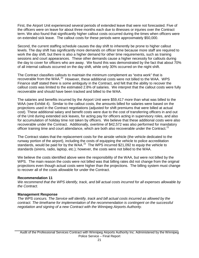First, the Airport Unit experienced several periods of extended leave that were not forecasted. Five of the officers were on leave for about three months each due to illnesses or injuries over the Contract term. We also found that significantly higher callout costs occurred during the times when officers were on extended sick leave. The callout costs for these periods were approximately \$50,000.

Second, the current staffing schedule causes the day shift to inherently be prone to higher callout levels. The day shift has significantly more demands on officer time because more staff are required to work the day shift, but there is also a higher demand for other time requirements, such as training sessions and court appearances. These other demands cause a higher necessity for callouts during the day to cover for officers who are away. We found this was demonstrated by the fact that about 70% of all internal callouts occurred on the day shift, while only 30% occurred on the night shift.

The Contract classifies callouts to maintain the minimum complement as "extra work" that is recoverable from the WAA.<sup>[20](#page-29-20)</sup> However, these additional costs were not billed to the WAA. WPS Finance staff stated there is some ambiguity in the Contract, and felt that the ability to recover the callout costs was limited to the estimated 2.8% of salaries. We interpret that the callout costs were fully recoverable and should have been tracked and billed to the WAA.

The salaries and benefits incurred by the Airport Unit were \$59,417 more than what was billed to the WAA (see Exhibit 4). Similar to the callout costs, the amounts billed for salaries were based on the projections used in the Contract negotiations (adjusted for shift premiums that were billed at actual cost). These additional salary and benefit costs were due to the cost of transferring officers in and out of the Unit during extended sick leaves, for acting pay for officers acting in supervisory roles, and also for accumulation of holiday time not taken by officers. We believe that these additional costs were also recoverable under the Contract. Additionally, overtime of \$42,572 was also performed for mandatory officer training time and court attendance, which are both also recoverable under the Contract.<sup>[21](#page-29-21)</sup>

The Contract states that the replacement costs for the airside vehicle (the vehicle dedicated to the runway portion of the airport), including the costs of equipping the vehicle to police accreditation standards, would be paid for by the WAA.<sup>[22](#page-29-22)</sup> The WPS incurred \$21,092 to equip the vehicle to standards (sirens, radio, laptop, etc.); however, the costs were not billed to the WAA.

We believe the costs identified above were the responsibility of the WAA, but were not billed by the WPS. The main reason the costs were not billed was that billing rates did not change from the original projections even though actual costs were higher than the projections. The billing system must change to recover all of the costs allowable for under the Contract.

## **Recommendation 11**

*We recommend that the WPS identify, track, and bill actual costs incurred for all expenses allowable by the Contract.*

## **Management Response**

*The WPS concurs. The Service will identify, track and bill actual costs incurred as allowed by the contract. The timeframe for implementation of the recommendation is contingent on the successful negotiation and signing of a new Contract with the Winnipeg Airports Authority.*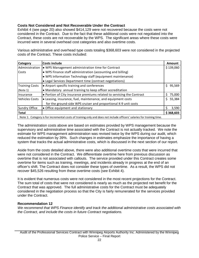## **Costs Not Considered and Not Recoverable Under the Contract**

Exhibit 4 (see page 20) also showed \$414,129 were not recovered because the costs were not considered in the Contract. Due to the fact that these additional costs were not negotiated into the Contract, these costs are not recoverable by the WPS. The significant areas where these costs were incurred were in several overhead cost categories and also overtime costs.

Various administrative and overhead type costs totaling \$368,603 were not considered in the projected costs of the Contract. These costs included:

| <b>Category</b>       | <b>Costs include</b>                                                                                                  | Amount       |  |  |  |  |  |
|-----------------------|-----------------------------------------------------------------------------------------------------------------------|--------------|--|--|--|--|--|
| Administration        | • WPS Management administration time for Contract                                                                     | \$139,060    |  |  |  |  |  |
| Costs                 | • WPS Finance staff administration (accounting and billing)                                                           |              |  |  |  |  |  |
|                       | • WPS Information Technology staff (equipment maintenance)                                                            |              |  |  |  |  |  |
|                       | • Legal Services Department time (contract negotiations)                                                              |              |  |  |  |  |  |
| <b>Training Costs</b> | • Airport specific training and conferences                                                                           | \$95,569     |  |  |  |  |  |
| (Note 1)              | • Mandatory annual training to keep officer accreditation                                                             |              |  |  |  |  |  |
| Insurance             | • Portion of City insurance premiums related to servicing the Contract                                                | 75,000<br>S. |  |  |  |  |  |
| <b>Vehicles Costs</b> | • Leasing, insurance, fuel, maintenance, and equipment costs                                                          | 55,384<br>S. |  |  |  |  |  |
|                       | for the ground-side WPS cruiser and proportional K-9 unit costs                                                       |              |  |  |  |  |  |
| Sundry Office         | • Office equipment and stationary                                                                                     | 3,590<br>S   |  |  |  |  |  |
| <b>Total</b>          |                                                                                                                       | \$368,603    |  |  |  |  |  |
|                       | Note 1: Category is for incremental costs of training only and does not include officers' salaries for training time. |              |  |  |  |  |  |

The administration costs above are based on estimates provided by WPS management because the supervisory and administrative time associated with the Contract is not actually tracked. We note the estimate for WPS management administration was revised twice by the WPS during our audit, which reduced the estimation by 39%. Such changes in estimates emphasize the importance of having a system that tracks the actual administrative costs, which is discussed in the next section of our report.

Aside from the costs detailed above, there were also additional overtime costs that were incurred that were not considered in the Contract. We differentiate overtime here from previous discussion as overtime that is not associated with callouts. The service provided under this Contract creates some overtime for items such as training, meetings, and incidents already in progress at the end of an officer's shift. The Contract does not consider these types of overtime. As a result, the WPS did not recover \$45,526 resulting from these overtime costs (see Exhibit 4).

It is evident that numerous costs were not considered in the most recent projections for the Contract. The sum total of costs that were not considered is nearly as much as the projected net benefit for the Contract that was approved. The full administrative costs for the Contract must be adequately considered in the negotiation process so that the City is fairly remunerated for the services provided under the Contract.

## **Recommendation 12**

*We recommend that WPS Finance identify and track the additional administrative costs associated with the Contract, and include the costs in future Contract negotiations.*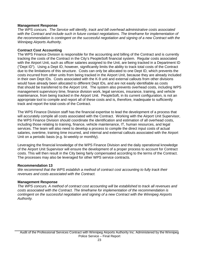## **Management Response**

*The WPS concurs. The Service will identify, track and bill overhead administrative costs associated with the Contract and include such in future contact negotiations. The timeframe for implementation of the recommendation is contingent on the successful negotiation and signing of a new Contract with the Winnipeg Airports Authority.*

## **Contract Cost Accounting**

The WPS Finance Division is responsible for the accounting and billing of the Contract and is currently tracking the costs of the Contract in the City's PeopleSoft financial system. Regular costs associated with the Airport Unit, such as officer salaries assigned to the Unit, are being tracked in a Department ID ("Dept ID"). Using a Dept ID, however, significantly limits the ability to track total costs of the Contract due to the limitations of this structure. Costs can only be allocated to one Dept ID, which prevents the costs incurred from other units from being tracked in the Airport Unit, because they are already included in their own Dept IDs. Costs associated with the K-9 unit and external callouts from other divisions would have already been allocated to different Dept IDs, and are not easily identifiable as costs that should be transferred to the Airport Unit. The system also prevents overhead costs, including WPS management supervisory time, finance division work, legal services, insurance, training, and vehicle maintenance, from being tracked in the Airport Unit. PeopleSoft, in its current configuration, is not an appropriate tool to compile and report all of these costs and is, therefore, inadequate to sufficiently track and report the total costs of the Contract.

The WPS Finance Division staff has the financial expertise to lead the development of a process that will accurately compile all costs associated with the Contract. Working with the Airport Unit Supervisor, the WPS Finance Division should coordinate the identification and estimation of all overhead costs, including those relating to training, finance, vehicle maintenance, IT, human resources, and legal services. The team will also need to develop a process to compile the direct input costs of actual salaries, overtime, training time incurred, and internal and external callouts associated with the Airport Unit on a periodic basis (e.g. bi-weekly or monthly).

Leveraging the financial knowledge of the WPS Finance Division and the daily operational knowledge of the Airport Unit Supervisor will ensure the development of a proper process to account for Contract costs. This will then result in the City being fairly compensated according to the terms of the Contract. The processes may also be leveraged for other WPS service contracts.

## **Recommendation 13**

*We recommend that the WPS establish a method of contract cost accounting to fully track their revenues and costs associated with the Contract.*

## **Management Response**

*The WPS concurs. A method of contract cost accounting will be established to track all revenues and costs associated with the Contract. The timeframe for implementation of the recommendation is contingent on the successful negotiation and signing of a new Contract with the Winnipeg Airports Authority.*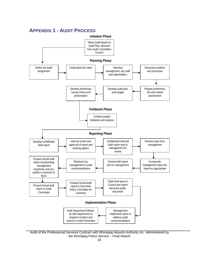<span id="page-24-0"></span>

Audit of the Professional Services Contract with Winnipeg Airports Authority Inc. Administered by the Winnipeg Police Service – Final Report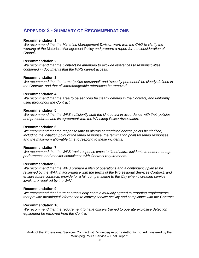# <span id="page-25-0"></span>**APPENDIX 2 - SUMMARY OF RECOMMENDATIONS**

### **Recommendation 1**

*We recommend that the Materials Management Division work with the CAO to clarify the wording of the* Materials Management Policy *and prepare a report for the consideration of Council.*

## **Recommendation 2**

*We recommend that the Contract be amended to exclude references to responsibilities contained in documents that the WPS cannot access.*

#### **Recommendation 3**

*We recommend that the terms "police personnel" and "security personnel" be clearly defined in the Contract, and that all interchangeable references be removed.*

#### **Recommendation 4**

*We recommend that the area to be serviced be clearly defined in the Contract, and uniformly used throughout the Contract.*

#### **Recommendation 5**

*We recommend that the WPS sufficiently staff the Unit to act in accordance with their policies and procedures, and its agreement with the Winnipeg Police Association.*

#### **Recommendation 6**

*We recommend that the response time to alarms at restricted access points be clarified, including the initiation point of the timed response, the termination point for timed responses, and the maximum allowable time to respond to these incidents.*

#### **Recommendation 7**

*We recommend that the WPS track response times to timed alarm incidents to better manage performance and monitor compliance with Contract requirements.* 

#### **Recommendation 8**

*We recommend that the WPS prepare a plan of operations and a contingency plan to be reviewed by the WAA in accordance with the terms of the* Professional Services Contract*, and ensure future contracts provide for a fair compensation to the City when increased service levels are required by the WAA.*

#### **Recommendation 9**

*We recommend that future contracts only contain mutually agreed to reporting requirements that provide meaningful information to convey service activity and compliance with the Contract.*

#### **Recommendation 10**

*We recommend that the requirement to have officers trained to operate explosive detection equipment be removed from the Contract.*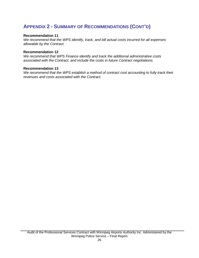# **APPENDIX 2 - SUMMARY OF RECOMMENDATIONS (CONT'D)**

### **Recommendation 11**

*We recommend that the WPS identify, track, and bill actual costs incurred for all expenses allowable by the Contract.*

#### **Recommendation 12**

*We recommend that WPS Finance identify and track the additional administrative costs associated with the Contract, and include the costs in future Contract negotiations.*

#### **Recommendation 13**

*We recommend that the WPS establish a method of contract cost accounting to fully track their revenues and costs associated with the Contract.*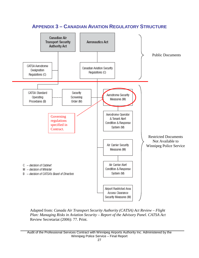<span id="page-27-0"></span>

Adapted from: *Canada Air Transport Security Authority (CATSA) Act Review – Flight Plan: Managing Risks in Aviation Security – Report of the Advisory Panel*. *CATSA Act*  Review Secretariat (2006): 77. Print.

Audit of the Professional Services Contract with Winnipeg Airports Authority Inc. Administered by the Winnipeg Police Service – Final Report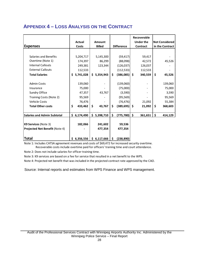# <span id="page-28-0"></span>**APPENDIX 4 – LOSS ANALYSIS ON THE CONTRACT**

|                                | <b>Actual</b>   | <b>Amount</b> |                       | Recoverable<br>Under the   | <b>Not Considered</b> |  |
|--------------------------------|-----------------|---------------|-----------------------|----------------------------|-----------------------|--|
| <b>Expenses</b>                | Costs           | <b>Billed</b> | <b>Difference</b>     | Contract                   | in the Contract       |  |
|                                |                 |               |                       |                            |                       |  |
| Salaries and Benefits          | 5,204,717       | 5,145,300     | (59, 417)             | 59,417                     |                       |  |
| Overtime (Note 1)              | 174,397         | 86,299        | (88,098)              | 42,572                     | 45,526                |  |
| <b>Internal Callouts</b>       | 249,381         | 123,344       | (126, 037)            | 126,037                    |                       |  |
| <b>External Callouts</b>       | 112,533         |               | (112, 533)            | 112,533                    |                       |  |
| <b>Total Salaries</b>          | 5,741,028<br>S. | \$5,354,943   | Ś.<br>$(386,085)$ \$  | 340,559                    | \$<br>45,526          |  |
|                                |                 |               |                       |                            |                       |  |
| <b>Admin Costs</b>             | 139,060         |               | (139,060)             |                            | 139,060               |  |
| Insurance                      | 75,000          |               | (75,000)              |                            | 75,000                |  |
| Sundry Office                  | 47,357          | 43,767        | (3,590)               |                            | 3,590                 |  |
| Training Costs (Note 2)        | 95,569          |               | (95, 569)             |                            | 95,569                |  |
| <b>Vehicle Costs</b>           | 76,476          |               | (76, 476)             | 21,092                     | 55,384                |  |
| <b>Total Other costs</b>       | \$<br>433,462   | \$<br>43,767  | \$<br>$(389, 695)$ \$ | 21,092                     | \$<br>368,603         |  |
|                                |                 |               |                       |                            |                       |  |
| Salaries and Admin Subtotal    | \$6,174,490     | \$5,398,710   | \$<br>(775, 780)      | $\ddot{\bm{s}}$<br>361,651 | \$<br>414,129         |  |
|                                |                 |               |                       |                            |                       |  |
| K9 Services (Note 3)           | 182,066         | 241,602       | 59,536                |                            |                       |  |
| Projected Net Benefit (Note 4) |                 | 477,354       | 477,354               |                            |                       |  |
|                                |                 |               |                       |                            |                       |  |
| <b>Total</b>                   | \$6,356,556     | \$6,117,666   | \$<br>(238, 890)      |                            |                       |  |

Note 1: Includes CATSA agreement revenues and costs of \$69,472 for increased security overtime. Recoverable costs include overtime paid for officers' training time and court attendance.

Note 2: Does not include salaries for officer training time.

Note 3: K9 services are based on a fee for service that resulted in a net benefit to the WPS.

Note 4: Projected net benefit that was included in the projected contract rate approved by the CAO.

Source: Internal reports and estimates from WPS Finance and WPS management.